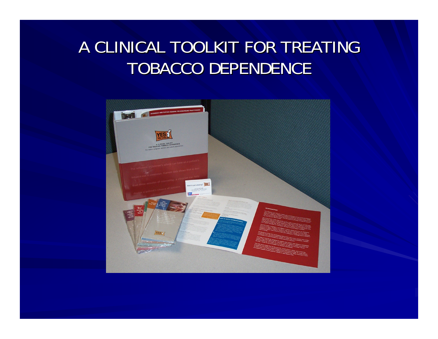#### A CLINICAL TOOLKIT FOR TREATING TOBACCO DEPENDENCE

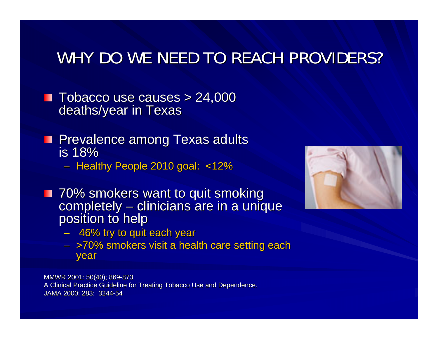#### WHY DO WE NEED TO REACH PROVIDERS?

- **Tobacco use causes > 24,000** deaths/year in Texas
- **Prevalence among Texas adults is 18%** 
	- Healthy People 2010 goal: <12%
- 70% smokers want to quit smoking<br>completely clinicians are in a uniq completely – clinicians are in a unique<br>position to help
	- $\,$  46% try to quit each year
	- >70% smokers visit a health care setting each year

MMWR 2001: 50(40); 869-873 A Clinical Practice Guideline for Treating Tobacco Use and Dependence. JAMA 2000; 283: 3244-54

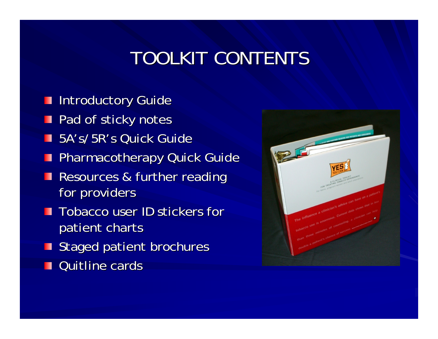### TOOLKIT CONTENTS

- **Introductory Guide**
- **Pad of sticky notes**
- 5A's/5R's Quick Guide
- **Pharmacotherapy Quick Guide**
- **Resources & further reading** for providers
- **T** Tobacco user ID stickers for patient charts
- $\blacksquare$  Staged patient brochures
- Quitline cards

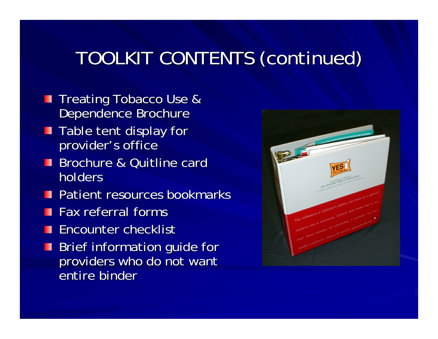### TOOLKIT CONTENTS (continued) TOOLKIT CONTENTS (continued)

- **Treating Tobacco Use &** Dependence Brochure
- $\blacksquare$  Table tent display for provider's office
- Brochure & Quitline card holders
- Patient resources bookmarks
- Fax referral forms
- Encounter checklist
- **Brief information guide formation** providers who do not want entire binder

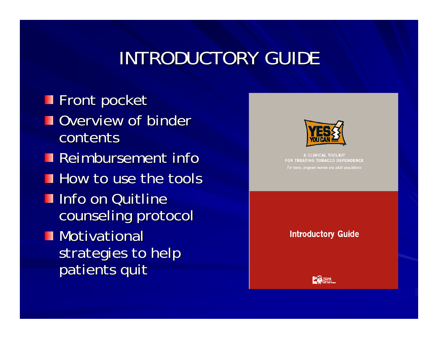### INTRODUCTORY GUIDE

**Front pocket Overview of binder** contents Reimbursement info How to use the tools **Info on Quitline** counseling protocol **Motivational** strategies to help patients quit



A CLINICAL TOOLKIT FOR TREATING TOBACCO DEPENDENCE For teens, pregnant women and adult populations

**Introductory Guide** 

**LAW TEXAS**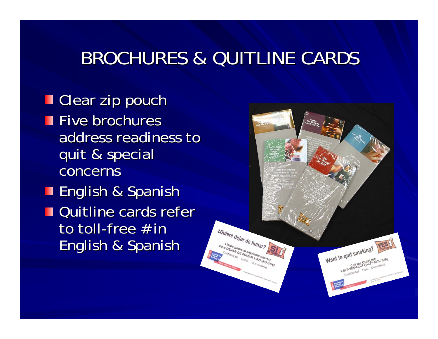#### BROCHURES & QUITLINE CARDS

**Clear zip pouch**  $\blacksquare$  Five brochures address readiness to quit & special quit & special concerns **English & Spanish Quitline cards refer** to toll-free # in English & Spanish English & Spanish

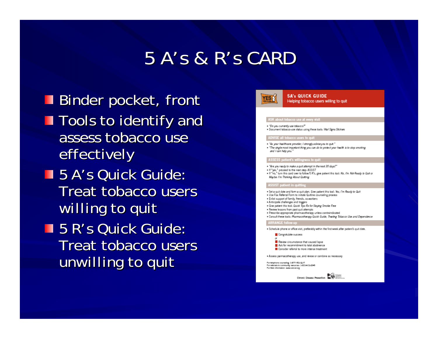#### 5 A's & R's CARD

Binder pocket, front **Tools to identify and** assess tobacco use effectively **5 A's Quick Guide:** Treat tobacco users *willing* to quit **5 R's Quick Guide:** Treat tobacco users *unwilling* to quit

#### **5A's QUICK GUIDE YES S** Helping tobacco users willing to quit ASK about tobacco use at every vi . "Do you currently use tobacco?" . Document tobacco-use status using these tools: Wtal Signs Stickers ADVISE all tobacco users to quit . "As your healthcare provider, I strongly advise you to quit." . "The single most important thing you can do to protect your health is to stop smoking. and I can help you. ASSESS patient's willingness to o . "Are you ready to make a quit attempt in the next 30 days?" . If "yes," proceed to the next step: ASSIST . If "no," turn this card over to follow 5 R's, give patient this tool: No, I'm Not Ready to Quit or Maybe I'm Thinking About Quitting SSIST patient in quit . Set a quit date and form a quit plan. Give patient this tool: Yes, I'm Ready to Quit . Use Fax Referral Form to initiate Quitline counseling process · Enlist support of family, friends, co-workers . Anticipate challenges and triggers · Give patient this tool: Quick Tips Rx for Staying Smoke Free · Review lessons from past quit attempts · Prescribe appropriate pharmacotherapy unless contraindicated · Consult these tools: Pharmacotherapy Quick Guide, Treating Tobacco Use and Dependence **ARRANGE follow-up** . Schedule phone or office visit, preferably within the first week after patient's quit date Congratulate success Review circumstance that caused lapse Ask for recommitment to total abstinence Consider referral to more intense treatment . Assess parmacotherapy use, and revise or combine as necessary For heighane counseling: 1-877-YES-QUIT For referrals to community resources: 3-800-ACS-2345<br>For referrals to community resources: 3-800-ACS-2345<br>For Web information: www.cancer.org Chronic Disease Prevention **International Christian**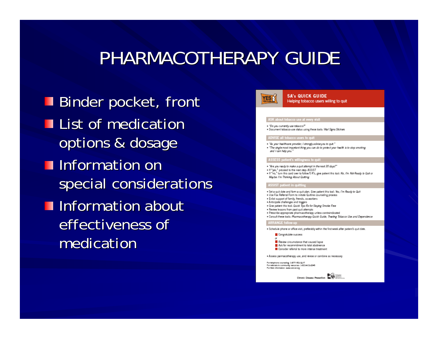#### PHARMACOTHERAPY GUIDE

Binder pocket, front **List of medication** options & dosage **Information on** special considerations **Information about** effectiveness of medication

#### **5A's QUICK GUIDE YES S** Helping tobacco users willing to quit ASK about tobacco use at every v . "Do you currently use tobacco?" . Document tobacco-use status using these tools: Wtal Signs Stickers ADVISE all tobacco users to quit . "As your healthcare provider, I strongly advise you to quit." . "The single most important thing you can do to protect your health is to stop smoking. and I can help you. **ASSESS patient's willin** . "Are you ready to make a quit attempt in the next 30 days?" . If yes," proceed to the next step: ASSIST . If "no," turn this card over to follow 5 R's, give patient this tool: No, I'm Not Ready to Quit or Maybe I'm Thinking About Quitting SIST patient in quit . Set a quit date and form a quit plan. Give patient this tool: Yes, I'm Ready to Quit . Use Fax Referral Form to initiate Quitline counseling process · Enlist support of family, friends, co-workers . Anticipate challenges and triggers · Give patient this tool: Quick Tips Rx for Staying Smoke Free · Review lessons from past quit attempts · Prescribe appropriate pharmacotherapy unless contraindicated · Consult these tools: Pharmacotherapy Quick Guide, Treating Tobacco Use and Dependence **ARRANGE follow-up** . Schedule phone or office visit, preferably within the first week after patient's quit date Congratulate success Review circumstance that caused lapse Ask for recommitment to total abstinence Consider referral to more intense treatment . Assess parmacotherapy use, and revise or combine as necessary For heighane counseling: 1-877-YES-QUIT For referrals to community resources: 3-800-ACS-2345<br>For referrals to community resources: 3-800-ACS-2345<br>For Web information: www.cancer.org **EXAMPLE Disease Provention EXAMPLE ONE OBsets**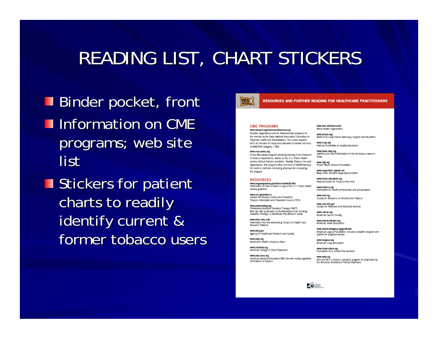### READING LIST, CHART STICKERS

- Binder pocket, front **Information on CME** programs; web site list
- $\blacksquare$  Stickers for patient charts to readily identify current & former tobacco users



#### RESOURCES AND FURTHER READING FOR HEALTHCARE PRACTITIONERS

#### **CME PROGRAMS** www.texmed.org/cme/tmaonlinecme.asp

Mosthe Dependence and its Treatment was prepared for the Internet by the Texas Medical Association Committee on Physician Health and Rehabilitation. The course requires 45 to 60 minutes for study and evaluation to deliver one hour of AMA/PRA Category 1 CME.

#### www.cine.uwisc.org

A free Web-based program providing training in the treatment of tobacco dependence. Based on the U.S. Public Health Service Clinical Practice Culcialine, Treating Tobacco Use and Dependence, this program offers one hour of CME/Pharmacy CE credit to clinicians (including phermacists) completing the program.

#### **RESOURCES**

www.surgeongeneral.gov/tobacco/default.htm<br>Information on how to obtain a copy of the U.S. Public Health Service guideline

www.ede.gov/tobacco Cantars for Disease Control and Prevention Tobacco Information and Prayention Source (TIPS)

www.endsmoking.org<br>Professional Assisted Cessation Therapy (PACT) Web site with publication on Reimbursement for Smoking Cosatton Thompy A Healthcare Practitorer's Guide

www.atrac.wisc.edu Information from the Addressing Tobacco in Health Care **Research Notwork** 

www.akrq.gov<br>Agency for Healthcare Research and Quality

www.akip.org<br>American's Health Insurance Plans

www.chestnet.org<br>American College of Chest Physicians

www.ama-asse.org American Medical Association Web site with mostly legislative information on tobacco

www.who.int/tobacco/en World Health Organization

www.akase.org/<br>Alliance for Lung Cancer Advocacy, Support and Education

www.noqa.org<br>National Committee on Quality Assurance

www.texas-step.org<br>Statistics and other information on the toll tobacco takes in Taxas

www.rwjf.org<br>Robert Wood Johnson Foundation

www.mayoolinic.org/ndc-rst<br>Mayo Clinic Nicotine Departiance Center

www.tobaccotroekids.org National Center for Tobacco-Free Kids

www.tobacco.org<br>information for health professionals and policymakers

www.smt.org<br>Socialty for Research on Nicotine and Tobacco

www.cans.hhs.gov<br>Cantars for Madicare and Medicald Services

www.cancer.org American Cancer Society

www.americanheart.org<br>American Heart Association

www.americanlegacy.org/greatstart American Legacy Foundation, includes cessation program and<br>quitine for pregnant women

www.fungusa.org<br>American Lung Association

www.tobaccothee.org<br>Foundation for a Smoke-Free America

www.aatp.org<br>ASK and ACT, a tobacco cassation program for physicians by<br>the American Academy of Family Physicians

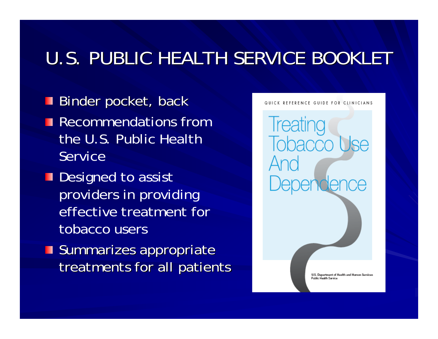### U.S. PUBLIC HEALTH SERVICE BOOKLET

- Binder pocket, back **Recommendations from** the U.S. Public Health Service
- Designed to assist providers in providing effective treatment for tobacco users
- **Summarizes appropriate** treatments for all patients

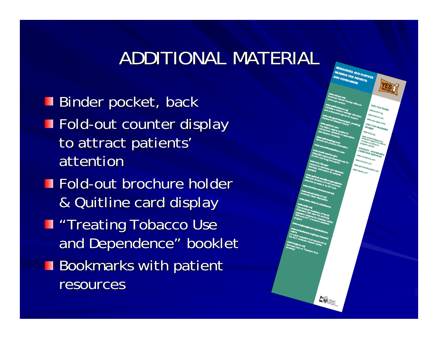#### ADDITIONAL MATERIAL

Binder pocket, back **Fold-out counter display** to attract patients' attention  $\blacksquare$  Fold-out brochure holder & Quitline card display & Quitline card display **T** "Treating Tobacco Use and Dependence" booklet **Bookmarks with patient** resources

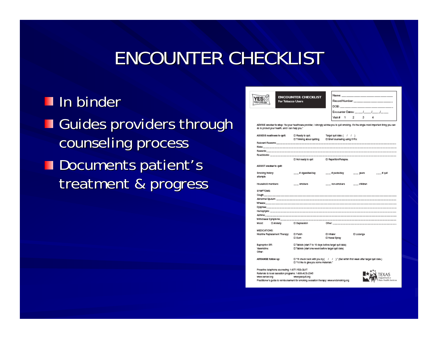#### ENCOUNTER CHECKLIST

#### In binder

- Guides providers through counseling process
- Documents patient's treatment & progress

|                                       |                                                       | ENCOUNTER CHECKLIST                                    | <u> Name: _________________________</u>                                                                                                  |
|---------------------------------------|-------------------------------------------------------|--------------------------------------------------------|------------------------------------------------------------------------------------------------------------------------------------------|
| <b>OU CAN-</b>                        | For Tobacco Users                                     |                                                        | Record Number: __ ___ ____ ____ ____ ____ ____                                                                                           |
|                                       |                                                       |                                                        |                                                                                                                                          |
|                                       |                                                       |                                                        | Encounter Dates: ___/__/__/___/___                                                                                                       |
|                                       |                                                       |                                                        | Visit# 1 2<br>з.<br>4                                                                                                                    |
|                                       | do to protect your health, and I can help you."       |                                                        | ADVISE smoker to stop: "As your healthcare provider, I strongly advise you to quit smoking. It's the single most important thing you can |
|                                       | ASSESS readiness to quit:                             | □ Ready to guit                                        | Target quit date: ( / / )                                                                                                                |
|                                       |                                                       |                                                        | □ Thinking about quiting □ Brief counseling using 5 R's:                                                                                 |
|                                       |                                                       |                                                        |                                                                                                                                          |
|                                       |                                                       |                                                        |                                                                                                                                          |
|                                       |                                                       |                                                        |                                                                                                                                          |
|                                       |                                                       |                                                        |                                                                                                                                          |
|                                       |                                                       | □ Not ready to guit                                    | □ Repetition/Relapse.                                                                                                                    |
|                                       | ASSIST smoker to guit:                                |                                                        |                                                                                                                                          |
| Smoking history:                      |                                                       |                                                        | __#cigaretes/day __#packs/day ___years<br>___# quit                                                                                      |
| attempts                              |                                                       |                                                        |                                                                                                                                          |
| Household members:                    |                                                       | smokers                                                | non-smokers children                                                                                                                     |
| SYMPTOMS:                             |                                                       |                                                        |                                                                                                                                          |
| cவூன் ______                          |                                                       |                                                        |                                                                                                                                          |
|                                       |                                                       |                                                        |                                                                                                                                          |
|                                       |                                                       |                                                        |                                                                                                                                          |
|                                       |                                                       |                                                        |                                                                                                                                          |
|                                       |                                                       |                                                        |                                                                                                                                          |
|                                       |                                                       |                                                        |                                                                                                                                          |
|                                       |                                                       | Withdrawal Symptoms:_____________________              |                                                                                                                                          |
|                                       | Mood: El Anxiety : El Depression                      |                                                        | Other: _________________________________                                                                                                 |
| MEDICATIONS:                          |                                                       |                                                        |                                                                                                                                          |
| Nicotine Replacement Therapy:         |                                                       | □ Patch                                                | □ Inhaier<br><b>El Lozenge</b>                                                                                                           |
|                                       |                                                       | $\square$ Gum                                          | C Nesal Spray                                                                                                                            |
|                                       |                                                       |                                                        |                                                                                                                                          |
| <b>Buproprion SR:</b><br>Varanicline: |                                                       | □ Tablets (start 7 to 10 days before target gult date) |                                                                                                                                          |
| Other:                                |                                                       | El Tablets (start one week before target quit date)    |                                                                                                                                          |
| ARRANGE follow up:                    |                                                       | El "I'd like to give you some materials."              | $\Box$ "If check back with you by $(-t-t-)$ " (Set within first week after target quit date.)                                            |
|                                       | Proactive telephone counseling: 1-877-YES-QUIT        |                                                        |                                                                                                                                          |
|                                       | Referrals to local cessation programs: 1-800-ACS-2345 |                                                        |                                                                                                                                          |
| www.cancer.org                        |                                                       | www.yesquit.org                                        | Department of                                                                                                                            |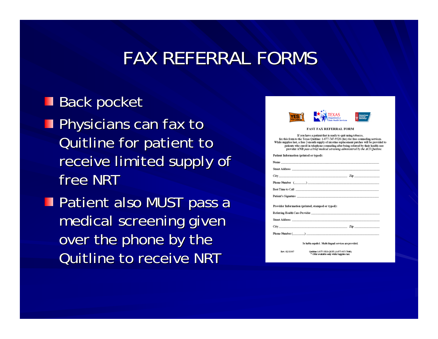#### FAX REFERRAL FORMS

#### **Back pocket**

- **Physicians can fax to** Quitline for patient to Quitline for patient to receive limited supply of free NRT
- **Patient also MUST pass a** medical screening given over the phone by the Quitline to receive NRT

| Department of<br>ancer<br>scient                                                                                                                                                                                                                                                                                                                                                                                                 |
|----------------------------------------------------------------------------------------------------------------------------------------------------------------------------------------------------------------------------------------------------------------------------------------------------------------------------------------------------------------------------------------------------------------------------------|
| <b>FAST FAX REFERRAL FORM</b>                                                                                                                                                                                                                                                                                                                                                                                                    |
| If you have a patient that is ready to quit using tobacco,<br>fax this form to the Texas Quitline: 1-877-747-9528 (fax) for free counseling services.<br>While supplies last, a free 2-month supply of nicotine replacement patches will be provided t<br>patients who enroll in telephone counseling after being referred by their health care<br>provider AND pass a brief medical screening administered by the ACS Quitline. |
| ?atient Information (printed or typed):                                                                                                                                                                                                                                                                                                                                                                                          |
|                                                                                                                                                                                                                                                                                                                                                                                                                                  |
|                                                                                                                                                                                                                                                                                                                                                                                                                                  |
| $\text{City}$ $\frac{1}{2}$ $\frac{1}{2}$ $\frac{1}{2}$ $\frac{1}{2}$ $\frac{1}{2}$ $\frac{1}{2}$ $\frac{1}{2}$ $\frac{1}{2}$ $\frac{1}{2}$ $\frac{1}{2}$ $\frac{1}{2}$ $\frac{1}{2}$ $\frac{1}{2}$ $\frac{1}{2}$ $\frac{1}{2}$ $\frac{1}{2}$ $\frac{1}{2}$ $\frac{1}{2}$ $\frac{1}{2}$ $\frac{1}{2}$ $\frac{1}{2}$ $\$                                                                                                          |
|                                                                                                                                                                                                                                                                                                                                                                                                                                  |
| Best Time to Call and the contract of the contract of the contract of the contract of the contract of the contract of the contract of the contract of the contract of the contract of the contract of the contract of the cont                                                                                                                                                                                                   |
| Patient's Signature <b>Second Contract Contract Contract Contract Contract Contract Contract Contract Contract Contract Contract Contract Contract Contract Contract Contract Contract Contract Contract Contract Contract Contr</b>                                                                                                                                                                                             |
| ?rovider Information (printed, stamped or typed):                                                                                                                                                                                                                                                                                                                                                                                |
|                                                                                                                                                                                                                                                                                                                                                                                                                                  |
|                                                                                                                                                                                                                                                                                                                                                                                                                                  |
| $\sum_{i=1}^{n}$ $\sum_{i=1}^{n}$ $\sum_{i=1}^{n}$ $\sum_{i=1}^{n}$ $\sum_{i=1}^{n}$ $\sum_{i=1}^{n}$ $\sum_{i=1}^{n}$ $\sum_{i=1}^{n}$ $\sum_{i=1}^{n}$ $\sum_{i=1}^{n}$ $\sum_{i=1}^{n}$ $\sum_{i=1}^{n}$ $\sum_{i=1}^{n}$ $\sum_{i=1}^{n}$ $\sum_{i=1}^{n}$ $\sum_{i=1}^{n}$ $\sum_{i=1}^{n}$                                                                                                                                 |
| $\mathbf{p}_{\text{home}}$ Number ( $\qquad \qquad$ )                                                                                                                                                                                                                                                                                                                                                                            |
| Se habla español. Multi-lingual services are provided.                                                                                                                                                                                                                                                                                                                                                                           |
| Quittine 1-877-YES-QUIT (1-877-937-7848)<br>Rev. 02/13/07<br>* Offer available only while Supplies last.                                                                                                                                                                                                                                                                                                                         |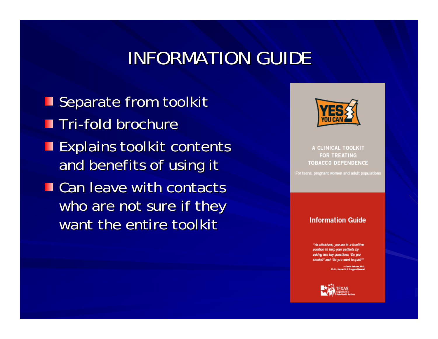### INFORMATION GUIDE

Separate from toolkit Tri-fold brochure **Explains toolkit contents** and benefits of using it  $\blacksquare$  Can leave with contacts who are not sure if they want the entire toolkit



A CLINICAL TOOLKIT **FOR TREATING TOBACCO DEPENDENCE** 

For teens, pregnant women and adult populations

#### **Information Guide**

"As clinicians, you are in a frontil ne position to help your patients by asking two key questions: 'Do you smoke?' and 'Do you want to guit?'

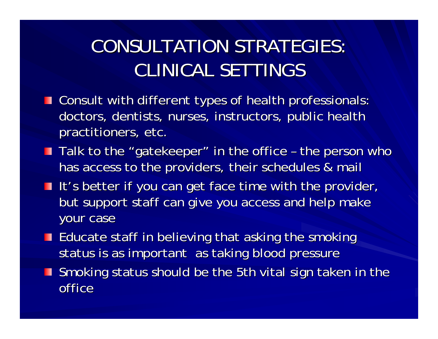## CONSULTATION STRATEGIES: CONSULTATION STRATEGIES:CLINICAL SETTINGS

- **T** Consult with different types of health professionals: doctors, dentists, nurses, instructors, public health practitioners, etc.
- Talk to the "gatekeeper" in the office  $\cdot$ –- the person who  $\overline{\phantom{a}}$ has access to the providers, their schedules & mail
- It's better if you can get face time with the provider, but support staff can give you access and help make your case
- $\blacksquare$  Educate staff in believing that asking the smoking status is as important as taking blood pressure
- **Smoking status should be the 5th vital sign taken in the Smoking status should be the 5th vital sign taken in the** office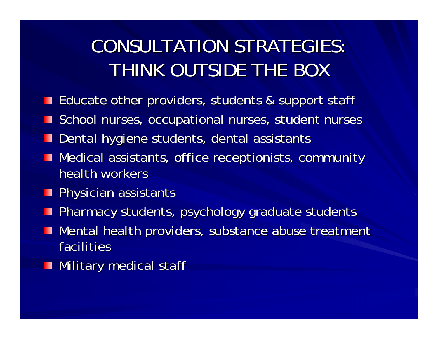### CONSULTATION STRATEGIES: CONSULTATION STRATEGIES:THINK OUTSIDE THE BOX

- **Educate other providers, students & support staff**
- School nurses, occupational nurses, student nurses
- Dental hygiene students, dental assistants
- Medical assistants, office receptionists, community health workers
- $\blacksquare$  Physician assistants
- **Pharmacy students, psychology graduate students**
- Mental health providers, substance abuse treatment facilities
- $\blacksquare$  Military medical staff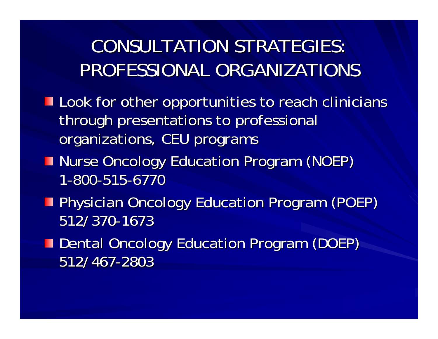### CONSULTATION STRATEGIES: CONSULTATION STRATEGIES:PROFESSIONAL ORGANIZATIONS

- Look for other opportunities to reach clinicians through presentations to professional organizations, CEU programs
- **Nurse Oncology Education Program (NOEP)** 1-800-515-6770
- **Physician Oncology Education Program (POEP)** 512/370-1673
- **Dental Oncology Education Program (DOEP)** 512/467 512/467-2803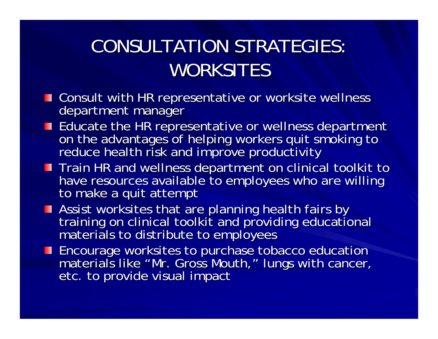## CONSULTATION STRATEGIES: CONSULTATION STRATEGIES:WORKSITES

- **The Consult with HR representative or worksite wellness department manager**
- Educate the HR representative or wellness department<br>on the advantages of helping workers quit smoking to<br>reduce health risk and improve productivity
- Train HR and wellness department on clinical toolkit to<br>have resources available to employees who are willing<br>to make a quit attempt
- Assist worksites that are planning health fairs by<br>training on clinical toolkit and providing educational<br>materials to distribute to employees
- Encourage worksites to purchase tobacco education<br>materials like "Mr. Gross Mouth," lungs with cancer,<br>etc. to provide visual impact